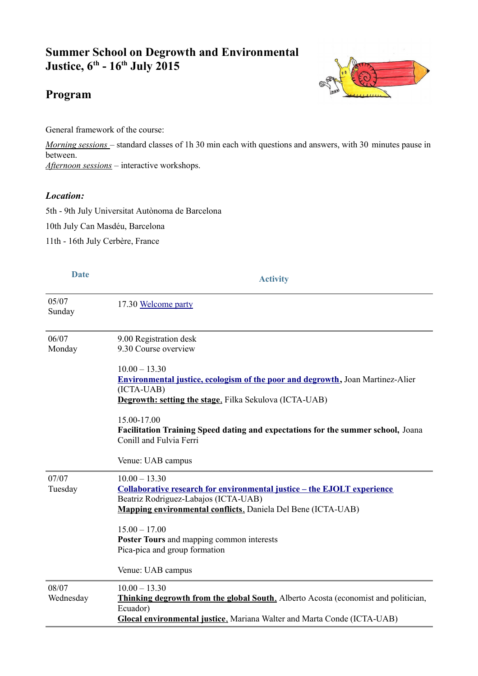# **Summer School on Degrowth and Environmental Justice, 6th - 16th July 2015**

# **Program**

General framework of the course:

*Morning sessions* – standard classes of 1h 30 min each with questions and answers, with 30 minutes pause in between. *Afternoon sessions* – interactive workshops.

#### *Location:*

5th - 9th July Universitat Autònoma de Barcelona

10th July Can Masdéu, Barcelona

11th - 16th July Cerbère, France

# **Date Activity**

05/07 Sunday 17.30 [Welcome party](http://summerschool.degrowth.net/index.php/12-lectures/61-welcome-party) 06/07 Monday 9.00 Registration desk 9.30 Course overview  $10.00 - 13.30$ **[Environmental justice, ecologism of the poor and degrowth,](http://summerschool.degrowth.net/index.php/12-lectures/64-environmental-justice-and-degrowth)** Joan Martinez-Alier (ICTA-UAB) **Degrowth: setting the stage**, Filka Sekulova (ICTA-UAB) 15.00-17.00 **Facilitation Training Speed dating and expectations for the summer school,** Joana Conill and Fulvia Ferri Venue: UAB campus 07/07 Tuesday  $10.00 - 13.30$ **[Collaborative research for environmental justice – the EJOLT experience](http://summerschool.degrowth.net/index.php/12-lectures/65-collaborative-research-for-environmental-justice)** Beatriz Rodriguez-Labajos (ICTA-UAB)  **[Mapping environmental conflicts](http://summerschool.degrowth.net/index.php/12-lectures/66-mapping-environmental-conflicts)** , Daniela Del Bene (ICTA-UAB)  $15.00 - 17.00$ **Poster Tours** and mapping common interests Pica-pica and group formation Venue: UAB campus 08/07 Wednesday  $10.00 - 13.30$  **[Thinking degrowth from the global South](http://summerschool.degrowth.net/index.php/12-lectures/67-thinking-degrowth-from-the-global-south)** , Alberto Acosta (economist and politician, Ecuador)  **[Glocal environmental justice](http://summerschool.degrowth.net/index.php/12-lectures/68-glocal-environmental-justice)** , Mariana Walter and Marta Conde (ICTA-UAB)

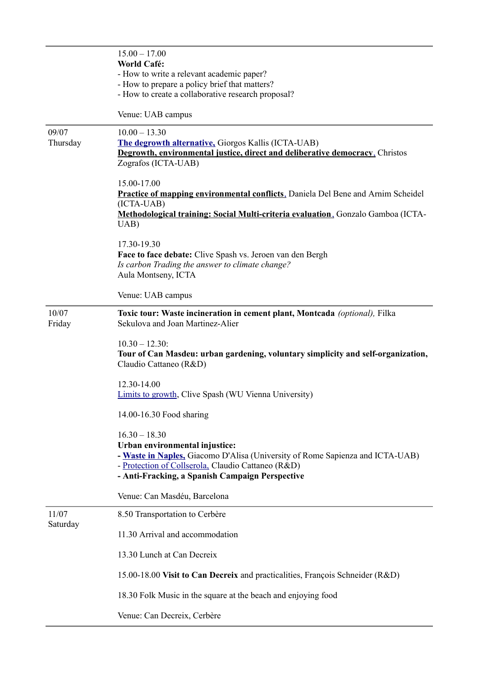|                   | $15.00 - 17.00$<br><b>World Café:</b><br>- How to write a relevant academic paper?<br>- How to prepare a policy brief that matters?<br>- How to create a collaborative research proposal?                                                   |
|-------------------|---------------------------------------------------------------------------------------------------------------------------------------------------------------------------------------------------------------------------------------------|
|                   | Venue: UAB campus                                                                                                                                                                                                                           |
| 09/07<br>Thursday | $10.00 - 13.30$<br><b>The degrowth alternative, Giorgos Kallis (ICTA-UAB)</b><br>Degrowth, environmental justice, direct and deliberative democracy. Christos<br>Zografos (ICTA-UAB)                                                        |
|                   | 15.00-17.00<br><b>Practice of mapping environmental conflicts</b> , Daniela Del Bene and Arnim Scheidel<br>(ICTA-UAB)<br>Methodological training: Social Multi-criteria evaluation, Gonzalo Gamboa (ICTA-<br>UAB)                           |
|                   | 17.30-19.30<br>Face to face debate: Clive Spash vs. Jeroen van den Bergh<br>Is carbon Trading the answer to climate change?<br>Aula Montseny, ICTA                                                                                          |
|                   | Venue: UAB campus                                                                                                                                                                                                                           |
| 10/07<br>Friday   | Toxic tour: Waste incineration in cement plant, Montcada (optional), Filka<br>Sekulova and Joan Martinez-Alier                                                                                                                              |
|                   | $10.30 - 12.30$ :<br>Tour of Can Masdeu: urban gardening, voluntary simplicity and self-organization,<br>Claudio Cattaneo (R&D)                                                                                                             |
|                   | 12.30-14.00<br>Limits to growth, Clive Spash (WU Vienna University)                                                                                                                                                                         |
|                   | 14.00-16.30 Food sharing                                                                                                                                                                                                                    |
|                   | $16.30 - 18.30$<br>Urban environmental injustice:<br>- Waste in Naples, Giacomo D'Alisa (University of Rome Sapienza and ICTA-UAB)<br>- Protection of Collserola, Claudio Cattaneo (R&D)<br>- Anti-Fracking, a Spanish Campaign Perspective |
|                   | Venue: Can Masdéu, Barcelona                                                                                                                                                                                                                |
| 11/07<br>Saturday | 8.50 Transportation to Cerbère                                                                                                                                                                                                              |
|                   | 11.30 Arrival and accommodation                                                                                                                                                                                                             |
|                   | 13.30 Lunch at Can Decreix                                                                                                                                                                                                                  |
|                   | 15.00-18.00 Visit to Can Decreix and practicalities, François Schneider (R&D)                                                                                                                                                               |
|                   | 18.30 Folk Music in the square at the beach and enjoying food                                                                                                                                                                               |
|                   | Venue: Can Decreix, Cerbère                                                                                                                                                                                                                 |